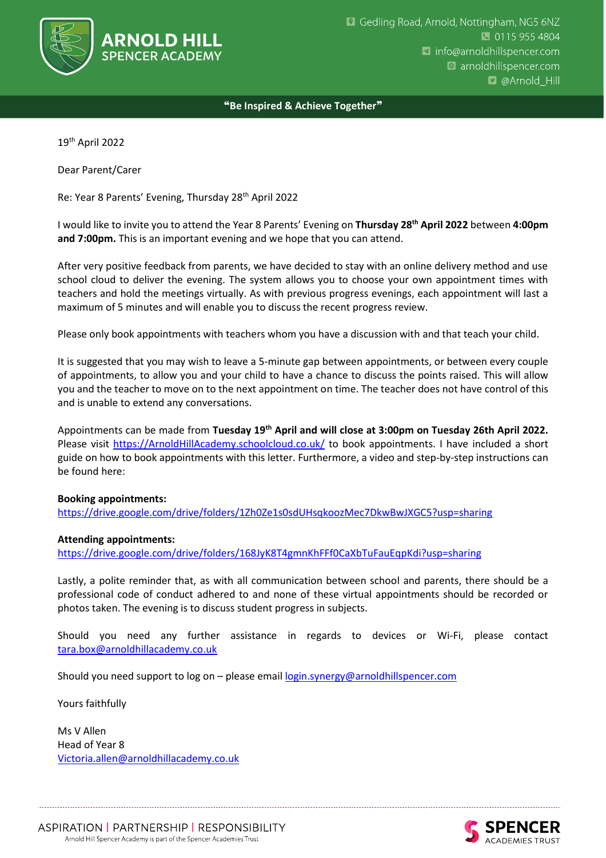

❝**Be Inspired & Achieve Together**❞

19th April 2022

Dear Parent/Carer

Re: Year 8 Parents' Evening, Thursday 28th April 2022

I would like to invite you to attend the Year 8 Parents' Evening on **Thursday 28th April 2022** between **4:00pm and 7:00pm.** This is an important evening and we hope that you can attend.

After very positive feedback from parents, we have decided to stay with an online delivery method and use school cloud to deliver the evening. The system allows you to choose your own appointment times with teachers and hold the meetings virtually. As with previous progress evenings, each appointment will last a maximum of 5 minutes and will enable you to discuss the recent progress review.

Please only book appointments with teachers whom you have a discussion with and that teach your child.

It is suggested that you may wish to leave a 5-minute gap between appointments, or between every couple of appointments, to allow you and your child to have a chance to discuss the points raised. This will allow you and the teacher to move on to the next appointment on time. The teacher does not have control of this and is unable to extend any conversations.

Appointments can be made from **Tuesday 19th April and will close at 3:00pm on Tuesday 26th April 2022.** Please visit [https://ArnoldHillAcademy.schoolcloud.co.uk/](https://arnoldhillacademy.schoolcloud.co.uk/) to book appointments. I have included a short guide on how to book appointments with this letter. Furthermore, a video and step-by-step instructions can be found here:

## **Booking appointments:**

<https://drive.google.com/drive/folders/1Zh0Ze1s0sdUHsqkoozMec7DkwBwJXGC5?usp=sharing>

## **Attending appointments:**

<https://drive.google.com/drive/folders/168JyK8T4gmnKhFFf0CaXbTuFauEqpKdi?usp=sharing>

Lastly, a polite reminder that, as with all communication between school and parents, there should be a professional code of conduct adhered to and none of these virtual appointments should be recorded or photos taken. The evening is to discuss student progress in subjects.

Should you need any further assistance in regards to devices or Wi-Fi, please contact [tara.box@arnoldhillacademy.co.uk](mailto:tara.box@arnoldhillacademy.co.uk) 

Should you need support to log on - please email [login.synergy@arnoldhillspencer.com](mailto:login.synergy@arnoldhillspencer.com)

Yours faithfully

Ms V Allen Head of Year 8 [Victoria.allen@arnoldhillacademy.co.uk](mailto:Victoria.allen@arnoldhillacademy.co.uk)

**CADEMIES TRUST**